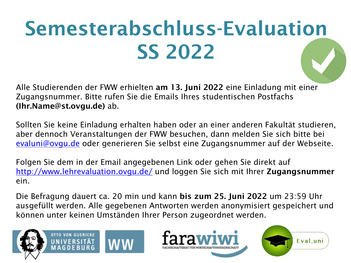## **Semesterabschluss-Evaluation SS 2022**

Alle Studierenden der FWW erhielten **am 13. Juni 2022** eine Einladung mit einer Zugangsnummer. Bitte rufen Sie die Emails Ihres studentischen Postfachs **(Ihr.Name@st.ovgu.de)** ab.

Sollten Sie keine Einladung erhalten haben oder an einer anderen Fakultät studieren, aber dennoch Veranstaltungen der FWW besuchen, dann melden Sie sich bitte bei [evaluni@ovgu.de](mailto:evaluni@ovgu.de) oder generieren Sie selbst eine Zugangsnummer auf der Webseite.

Folgen Sie dem in der Email angegebenen Link oder gehen Sie direkt auf <http://www.lehrevaluation.ovgu.de/> und loggen Sie sich mit Ihrer **Zugangsnummer** ein.

Die Befragung dauert ca. 20 min und kann **bis zum 25. Juni 2022** um 23:59 Uhr ausgefüllt werden. Alle gegebenen Antworten werden anonymisiert gespeichert und können unter keinen Umständen Ihrer Person zugeordnet werden.